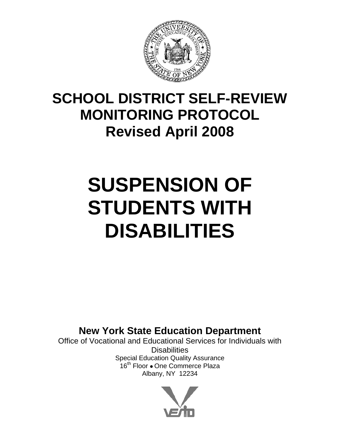

## **SCHOOL DISTRICT SELF-REVIEW MONITORING PROTOCOL Revised April 2008**

# **SUSPENSION OF STUDENTS WITH DISABILITIES**

**New York State Education Department** 

Office of Vocational and Educational Services for Individuals with **Disabilities** Special Education Quality Assurance 16<sup>th</sup> Floor . One Commerce Plaza Albany, NY 12234

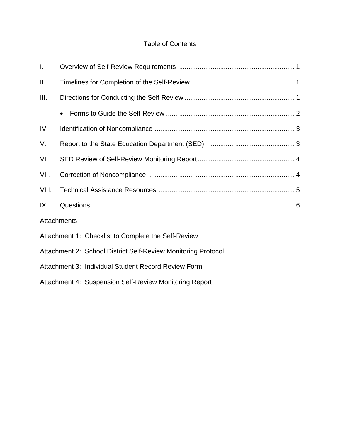### Table of Contents

| $\mathbf{I}$ . |                                                               |  |
|----------------|---------------------------------------------------------------|--|
| Ш.             |                                                               |  |
| III.           |                                                               |  |
|                |                                                               |  |
| IV.            |                                                               |  |
| V.             |                                                               |  |
| VI.            |                                                               |  |
| VII.           |                                                               |  |
| VIII.          |                                                               |  |
| IX.            |                                                               |  |
|                | <b>Attachments</b>                                            |  |
|                | Attachment 1: Checklist to Complete the Self-Review           |  |
|                | Attachment 2: School District Self-Review Monitoring Protocol |  |
|                | Attachment 3: Individual Student Record Review Form           |  |
|                | Attachment 4: Suspension Self-Review Monitoring Report        |  |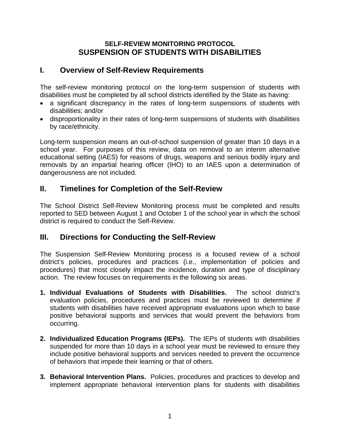#### **SELF-REVIEW MONITORING PROTOCOL SUSPENSION OF STUDENTS WITH DISABILITIES**

## **I. Overview of Self-Review Requirements**

The self-review monitoring protocol on the long-term suspension of students with disabilities must be completed by all school districts identified by the State as having:

- a significant discrepancy in the rates of long-term suspensions of students with disabilities; and/or
- disproportionality in their rates of long-term suspensions of students with disabilities by race/ethnicity.

Long-term suspension means an out-of-school suspension of greater than 10 days in a school year. For purposes of this review, data on removal to an interim alternative educational setting (IAES) for reasons of drugs, weapons and serious bodily injury and removals by an impartial hearing officer (IHO) to an IAES upon a determination of dangerousness are not included.

## **II. Timelines for Completion of the Self-Review**

The School District Self-Review Monitoring process must be completed and results reported to SED between August 1 and October 1 of the school year in which the school district is required to conduct the Self-Review.

## **III. Directions for Conducting the Self-Review**

The Suspension Self-Review Monitoring process is a focused review of a school district's policies, procedures and practices (i.e., implementation of policies and procedures) that most closely impact the incidence, duration and type of disciplinary action. The review focuses on requirements in the following six areas.

- **1. Individual Evaluations of Students with Disabilities.** The school district's evaluation policies, procedures and practices must be reviewed to determine if students with disabilities have received appropriate evaluations upon which to base positive behavioral supports and services that would prevent the behaviors from occurring.
- **2. Individualized Education Programs (IEPs).** The IEPs of students with disabilities suspended for more than 10 days in a school year must be reviewed to ensure they include positive behavioral supports and services needed to prevent the occurrence of behaviors that impede their learning or that of others.
- **3. Behavioral Intervention Plans.** Policies, procedures and practices to develop and implement appropriate behavioral intervention plans for students with disabilities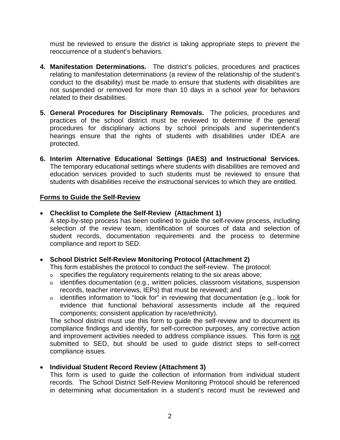must be reviewed to ensure the district is taking appropriate steps to prevent the reoccurrence of a student's behaviors.

- **4. Manifestation Determinations.** The district's policies, procedures and practices relating to manifestation determinations (a review of the relationship of the student's conduct to the disability) must be made to ensure that students with disabilities are not suspended or removed for more than 10 days in a school year for behaviors related to their disabilities.
- **5. General Procedures for Disciplinary Removals.** The policies, procedures and practices of the school district must be reviewed to determine if the general procedures for disciplinary actions by school principals and superintendent's hearings ensure that the rights of students with disabilities under IDEA are protected.
- **6. Interim Alternative Educational Settings (IAES) and Instructional Services.**  The temporary educational settings where students with disabilities are removed and education services provided to such students must be reviewed to ensure that students with disabilities receive the instructional services to which they are entitled.

#### **Forms to Guide the Self-Review**

#### • **Checklist to Complete the Self-Review (Attachment 1)**

A step-by-step process has been outlined to guide the self-review process, including selection of the review team, identification of sources of data and selection of student records, documentation requirements and the process to determine compliance and report to SED.

#### • **School District Self-Review Monitoring Protocol (Attachment 2)**

This form establishes the protocol to conduct the self-review. The protocol:

- $\circ$  specifies the regulatory requirements relating to the six areas above;
- o identifies documentation (e.g., written policies, classroom visitations, suspension records, teacher interviews, IEPs) that must be reviewed; and
- o identifies information to "look for" in reviewing that documentation (e.g., look for evidence that functional behavioral assessments include all the required components; consistent application by race/ethnicity).

The school district must use this form to guide the self-review and to document its compliance findings and identify, for self-correction purposes, any corrective action and improvement activities needed to address compliance issues. This form is not submitted to SED, but should be used to guide district steps to self-correct compliance issues.

#### • **Individual Student Record Review (Attachment 3)**

This form is used to guide the collection of information from individual student records. The School District Self-Review Monitoring Protocol should be referenced in determining what documentation in a student's record must be reviewed and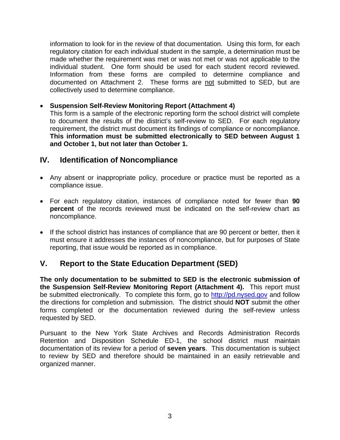information to look for in the review of that documentation. Using this form, for each regulatory citation for each individual student in the sample, a determination must be made whether the requirement was met or was not met or was not applicable to the individual student. One form should be used for each student record reviewed. Information from these forms are compiled to determine compliance and documented on Attachment 2. These forms are not submitted to SED, but are collectively used to determine compliance.

#### • **Suspension Self-Review Monitoring Report (Attachment 4)**

This form is a sample of the electronic reporting form the school district will complete to document the results of the district's self-review to SED. For each regulatory requirement, the district must document its findings of compliance or noncompliance. **This information must be submitted electronically to SED between August 1 and October 1, but not later than October 1.** 

## **IV. Identification of Noncompliance**

- Any absent or inappropriate policy, procedure or practice must be reported as a compliance issue.
- For each regulatory citation, instances of compliance noted for fewer than **90 percent** of the records reviewed must be indicated on the self-review chart as noncompliance.
- If the school district has instances of compliance that are 90 percent or better, then it must ensure it addresses the instances of noncompliance, but for purposes of State reporting, that issue would be reported as in compliance.

## **V. Report to the State Education Department (SED)**

**The only documentation to be submitted to SED is the electronic submission of the Suspension Self-Review Monitoring Report (Attachment 4).** This report must be submitted electronically. To complete this form, go to [http://pd.nysed.gov](http://pd.nysed.gov/) and follow the directions for completion and submission. The district should **NOT** submit the other forms completed or the documentation reviewed during the self-review unless requested by SED.

Pursuant to the New York State Archives and Records Administration Records Retention and Disposition Schedule ED-1, the school district must maintain documentation of its review for a period of **seven years**. This documentation is subject to review by SED and therefore should be maintained in an easily retrievable and organized manner.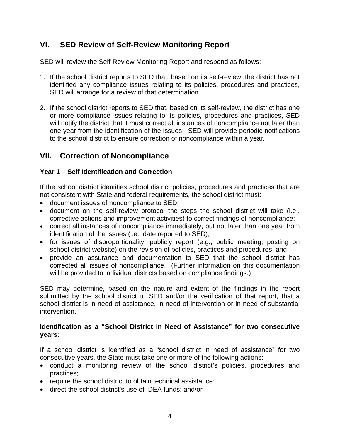## **VI. SED Review of Self-Review Monitoring Report**

SED will review the Self-Review Monitoring Report and respond as follows:

- 1. If the school district reports to SED that, based on its self-review, the district has not identified any compliance issues relating to its policies, procedures and practices, SED will arrange for a review of that determination.
- 2. If the school district reports to SED that, based on its self-review, the district has one or more compliance issues relating to its policies, procedures and practices, SED will notify the district that it must correct all instances of noncompliance not later than one year from the identification of the issues. SED will provide periodic notifications to the school district to ensure correction of noncompliance within a year.

## **VII. Correction of Noncompliance**

#### **Year 1 – Self Identification and Correction**

If the school district identifies school district policies, procedures and practices that are not consistent with State and federal requirements, the school district must:

- document issues of noncompliance to SED;
- document on the self-review protocol the steps the school district will take (i.e., corrective actions and improvement activities) to correct findings of noncompliance;
- correct all instances of noncompliance immediately, but not later than one year from identification of the issues (i.e., date reported to SED);
- for issues of disproportionality, publicly report (e.g., public meeting, posting on school district website) on the revision of policies, practices and procedures; and
- provide an assurance and documentation to SED that the school district has corrected all issues of noncompliance. (Further information on this documentation will be provided to individual districts based on compliance findings.)

SED may determine, based on the nature and extent of the findings in the report submitted by the school district to SED and/or the verification of that report, that a school district is in need of assistance, in need of intervention or in need of substantial intervention.

#### **Identification as a "School District in Need of Assistance" for two consecutive years:**

If a school district is identified as a "school district in need of assistance" for two consecutive years, the State must take one or more of the following actions:

- conduct a monitoring review of the school district's policies, procedures and practices;
- require the school district to obtain technical assistance;
- direct the school district's use of IDEA funds; and/or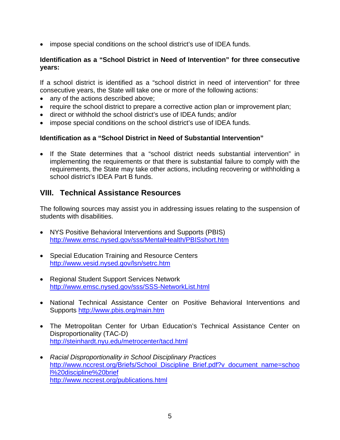• impose special conditions on the school district's use of IDEA funds.

#### **Identification as a "School District in Need of Intervention" for three consecutive years:**

If a school district is identified as a "school district in need of intervention" for three consecutive years, the State will take one or more of the following actions:

- any of the actions described above;
- require the school district to prepare a corrective action plan or improvement plan;
- direct or withhold the school district's use of IDEA funds; and/or
- impose special conditions on the school district's use of IDEA funds.

#### **Identification as a "School District in Need of Substantial Intervention"**

• If the State determines that a "school district needs substantial intervention" in implementing the requirements or that there is substantial failure to comply with the requirements, the State may take other actions, including recovering or withholding a school district's IDEA Part B funds.

### **VIII. Technical Assistance Resources**

The following sources may assist you in addressing issues relating to the suspension of students with disabilities.

- NYS Positive Behavioral Interventions and Supports (PBIS) <http://www.emsc.nysed.gov/sss/MentalHealth/PBISshort.htm>
- Special Education Training and Resource Centers <http://www.vesid.nysed.gov/lsn/setrc.htm>
- Regional Student Support Services Network <http://www.emsc.nysed.gov/sss/SSS-NetworkList.html>
- National Technical Assistance Center on Positive Behavioral Interventions and Supports<http://www.pbis.org/main.htm>
- The Metropolitan Center for Urban Education's Technical Assistance Center on Disproportionality (TAC-D) <http://steinhardt.nyu.edu/metrocenter/tacd.html>
- *Racial Disproportionality in School Disciplinary Practices*  [http://www.nccrest.org/Briefs/School\\_Discipline\\_Brief.pdf?v\\_document\\_name=schoo](http://www.nccrest.org/Briefs/School_Discipline_Brief.pdf?v_document_name=school%20discipline%20brief) [l%20discipline%20brief](http://www.nccrest.org/Briefs/School_Discipline_Brief.pdf?v_document_name=school%20discipline%20brief) <http://www.nccrest.org/publications.html>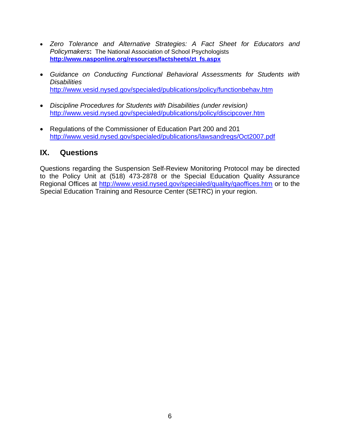- *Zero Tolerance and Alternative Strategies: A Fact Sheet for Educators and Policymakers***:** The National Association of School Psychologists **[http://www.nasponline.org/resources/factsheets/zt\\_fs.aspx](http://www.nasponline.org/resources/factsheets/zt_fs.aspx)**
- *Guidance on Conducting Functional Behavioral Assessments for Students with Disabilities*  <http://www.vesid.nysed.gov/specialed/publications/policy/functionbehav.htm>
- *Discipline Procedures for Students with Disabilities (under revision)*  <http://www.vesid.nysed.gov/specialed/publications/policy/discipcover.htm>
- Regulations of the Commissioner of Education Part 200 and 201 <http://www.vesid.nysed.gov/specialed/publications/lawsandregs/Oct2007.pdf>

### **IX. Questions**

Questions regarding the Suspension Self-Review Monitoring Protocol may be directed to the Policy Unit at (518) 473-2878 or the Special Education Quality Assurance Regional Offices at <http://www.vesid.nysed.gov/specialed/quality/qaoffices.htm>or to the Special Education Training and Resource Center (SETRC) in your region.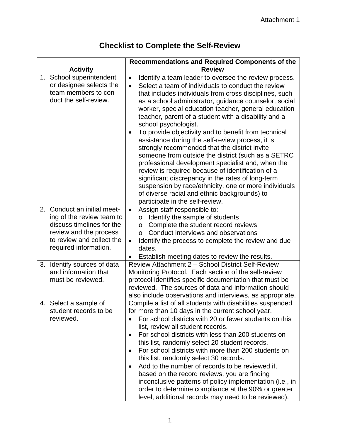## **Checklist to Complete the Self-Review**

| <b>Activity</b>                                                                                                                                                       | Recommendations and Required Components of the<br><b>Review</b>                                                                                                                                                                                                                                                                                                                                                                                                                                                                                                                                                                                                                                                                                                                                                                                                                                                                     |
|-----------------------------------------------------------------------------------------------------------------------------------------------------------------------|-------------------------------------------------------------------------------------------------------------------------------------------------------------------------------------------------------------------------------------------------------------------------------------------------------------------------------------------------------------------------------------------------------------------------------------------------------------------------------------------------------------------------------------------------------------------------------------------------------------------------------------------------------------------------------------------------------------------------------------------------------------------------------------------------------------------------------------------------------------------------------------------------------------------------------------|
| 1. School superintendent<br>or designee selects the<br>team members to con-<br>duct the self-review.                                                                  | Identify a team leader to oversee the review process.<br>$\bullet$<br>Select a team of individuals to conduct the review<br>$\bullet$<br>that includes individuals from cross disciplines, such<br>as a school administrator, guidance counselor, social<br>worker, special education teacher, general education<br>teacher, parent of a student with a disability and a<br>school psychologist.<br>To provide objectivity and to benefit from technical<br>٠<br>assistance during the self-review process, it is<br>strongly recommended that the district invite<br>someone from outside the district (such as a SETRC<br>professional development specialist and, when the<br>review is required because of identification of a<br>significant discrepancy in the rates of long-term<br>suspension by race/ethnicity, one or more individuals<br>of diverse racial and ethnic backgrounds) to<br>participate in the self-review. |
| 2. Conduct an initial meet-<br>ing of the review team to<br>discuss timelines for the<br>review and the process<br>to review and collect the<br>required information. | Assign staff responsible to:<br>$\bullet$<br>Identify the sample of students<br>$\circ$<br>Complete the student record reviews<br>$\circ$<br>Conduct interviews and observations<br>$\Omega$<br>Identify the process to complete the review and due<br>$\bullet$<br>dates.<br>Establish meeting dates to review the results.                                                                                                                                                                                                                                                                                                                                                                                                                                                                                                                                                                                                        |
| 3. Identify sources of data<br>and information that<br>must be reviewed.                                                                                              | Review Attachment 2 - School District Self-Review<br>Monitoring Protocol. Each section of the self-review<br>protocol identifies specific documentation that must be<br>reviewed. The sources of data and information should<br>also include observations and interviews, as appropriate.                                                                                                                                                                                                                                                                                                                                                                                                                                                                                                                                                                                                                                           |
| 4. Select a sample of<br>student records to be<br>reviewed.                                                                                                           | Compile a list of all students with disabilities suspended<br>for more than 10 days in the current school year.<br>For school districts with 20 or fewer students on this<br>list, review all student records.<br>For school districts with less than 200 students on<br>$\bullet$<br>this list, randomly select 20 student records.<br>For school districts with more than 200 students on<br>$\bullet$<br>this list, randomly select 30 records.<br>Add to the number of records to be reviewed if,<br>$\bullet$<br>based on the record reviews, you are finding<br>inconclusive patterns of policy implementation (i.e., in<br>order to determine compliance at the 90% or greater<br>level, additional records may need to be reviewed).                                                                                                                                                                                        |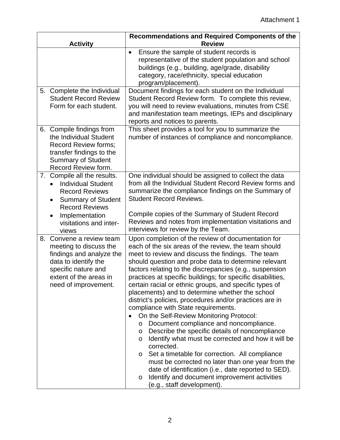|    | <b>Activity</b>                                                                                                                                                                                                        | Recommendations and Required Components of the<br><b>Review</b>                                                                                                                                                                                                                                                                                                                                                                                                                                                                                                                                                                                                                                                                                                                                                                                                                                                                                                                                                                                                                              |
|----|------------------------------------------------------------------------------------------------------------------------------------------------------------------------------------------------------------------------|----------------------------------------------------------------------------------------------------------------------------------------------------------------------------------------------------------------------------------------------------------------------------------------------------------------------------------------------------------------------------------------------------------------------------------------------------------------------------------------------------------------------------------------------------------------------------------------------------------------------------------------------------------------------------------------------------------------------------------------------------------------------------------------------------------------------------------------------------------------------------------------------------------------------------------------------------------------------------------------------------------------------------------------------------------------------------------------------|
|    |                                                                                                                                                                                                                        | Ensure the sample of student records is<br>$\bullet$<br>representative of the student population and school<br>buildings (e.g., building, age/grade, disability<br>category, race/ethnicity, special education<br>program/placement).                                                                                                                                                                                                                                                                                                                                                                                                                                                                                                                                                                                                                                                                                                                                                                                                                                                        |
|    | 5. Complete the Individual<br><b>Student Record Review</b><br>Form for each student.                                                                                                                                   | Document findings for each student on the Individual<br>Student Record Review form. To complete this review,<br>you will need to review evaluations, minutes from CSE<br>and manifestation team meetings, IEPs and disciplinary<br>reports and notices to parents.                                                                                                                                                                                                                                                                                                                                                                                                                                                                                                                                                                                                                                                                                                                                                                                                                           |
|    | 6. Compile findings from<br>the Individual Student<br>Record Review forms;<br>transfer findings to the<br><b>Summary of Student</b><br>Record Review form.                                                             | This sheet provides a tool for you to summarize the<br>number of instances of compliance and noncompliance.                                                                                                                                                                                                                                                                                                                                                                                                                                                                                                                                                                                                                                                                                                                                                                                                                                                                                                                                                                                  |
|    | 7. Compile all the results.<br><b>Individual Student</b><br><b>Record Reviews</b><br><b>Summary of Student</b><br>$\bullet$<br><b>Record Reviews</b><br>Implementation<br>$\bullet$<br>visitations and inter-<br>views | One individual should be assigned to collect the data<br>from all the Individual Student Record Review forms and<br>summarize the compliance findings on the Summary of<br><b>Student Record Reviews.</b><br>Compile copies of the Summary of Student Record<br>Reviews and notes from implementation visitations and<br>interviews for review by the Team.                                                                                                                                                                                                                                                                                                                                                                                                                                                                                                                                                                                                                                                                                                                                  |
| 8. | Convene a review team<br>meeting to discuss the<br>findings and analyze the<br>data to identify the<br>specific nature and<br>extent of the areas in<br>need of improvement.                                           | Upon completion of the review of documentation for<br>each of the six areas of the review, the team should<br>meet to review and discuss the findings. The team<br>should question and probe data to determine relevant<br>factors relating to the discrepancies (e.g., suspension<br>practices at specific buildings; for specific disabilities,<br>certain racial or ethnic groups, and specific types of<br>placements) and to determine whether the school<br>district's policies, procedures and/or practices are in<br>compliance with State requirements.<br>On the Self-Review Monitoring Protocol:<br>$\bullet$<br>Document compliance and noncompliance.<br>$\circ$<br>Describe the specific details of noncompliance<br>$\circ$<br>Identify what must be corrected and how it will be<br>$\circ$<br>corrected.<br>Set a timetable for correction. All compliance<br>$\circ$<br>must be corrected no later than one year from the<br>date of identification (i.e., date reported to SED).<br>Identify and document improvement activities<br>$\circ$<br>(e.g., staff development). |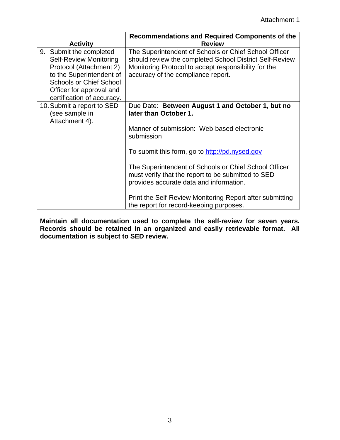| <b>Activity</b>                                                                                                                                                                                             | <b>Recommendations and Required Components of the</b><br><b>Review</b>                                                                                                                                         |
|-------------------------------------------------------------------------------------------------------------------------------------------------------------------------------------------------------------|----------------------------------------------------------------------------------------------------------------------------------------------------------------------------------------------------------------|
| 9. Submit the completed<br><b>Self-Review Monitoring</b><br>Protocol (Attachment 2)<br>to the Superintendent of<br><b>Schools or Chief School</b><br>Officer for approval and<br>certification of accuracy. | The Superintendent of Schools or Chief School Officer<br>should review the completed School District Self-Review<br>Monitoring Protocol to accept responsibility for the<br>accuracy of the compliance report. |
| 10. Submit a report to SED<br>(see sample in<br>Attachment 4).                                                                                                                                              | Due Date: Between August 1 and October 1, but no<br>later than October 1.                                                                                                                                      |
|                                                                                                                                                                                                             | Manner of submission: Web-based electronic<br>submission                                                                                                                                                       |
|                                                                                                                                                                                                             | To submit this form, go to http://pd.nysed.gov                                                                                                                                                                 |
|                                                                                                                                                                                                             | The Superintendent of Schools or Chief School Officer<br>must verify that the report to be submitted to SED<br>provides accurate data and information.                                                         |
|                                                                                                                                                                                                             | Print the Self-Review Monitoring Report after submitting<br>the report for record-keeping purposes.                                                                                                            |

**Maintain all documentation used to complete the self-review for seven years. Records should be retained in an organized and easily retrievable format. All documentation is subject to SED review.**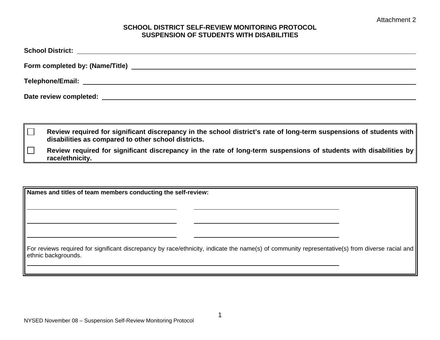#### **SCHOOL DISTRICT SELF-REVIEW MONITORING PROTOCOL SUSPENSION OF STUDENTS WITH DISABILITIES**

 **Review required for significant discrepancy in the school district's rate of long-term suspensions of students with disabilities as compared to other school districts.** 

 **Review required for significant discrepancy in the rate of long-term suspensions of students with disabilities by race/ethnicity.** 

**Names and titles of team members conducting the self-review:** 

For reviews required for significant discrepancy by race/ethnicity, indicate the name(s) of community representative(s) from diverse racial and ethnic backgrounds.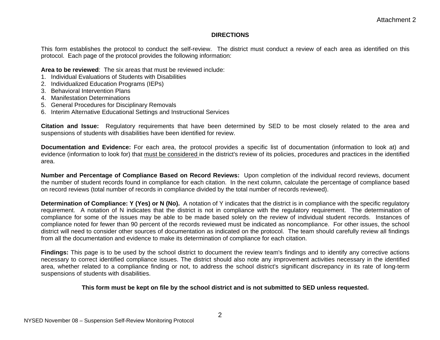#### **DIRECTIONS**

This form establishes the protocol to conduct the self-review. The district must conduct a review of each area as identified on this protocol. Each page of the protocol provides the following information:

**Area to be reviewed**: The six areas that must be reviewed include:

- 1. Individual Evaluations of Students with Disabilities
- 2. Individualized Education Programs (IEPs)
- 3. Behavioral Intervention Plans
- 4. Manifestation Determinations
- 5. General Procedures for Disciplinary Removals
- 6. Interim Alternative Educational Settings and Instructional Services

**Citation and Issue:** Regulatory requirements that have been determined by SED to be most closely related to the area and suspensions of students with disabilities have been identified for review.

**Documentation and Evidence:** For each area, the protocol provides a specific list of documentation (information to look at) and evidence (information to look for) that must be considered in the district's review of its policies, procedures and practices in the identified area.

**Number and Percentage of Compliance Based on Record Reviews:** Upon completion of the individual record reviews, document the number of student records found in compliance for each citation. In the next column, calculate the percentage of compliance based on record reviews (total number of records in compliance divided by the total number of records reviewed).

**Determination of Compliance: Y (Yes) or N (No).** A notation of Y indicates that the district is in compliance with the specific regulatory requirement. A notation of N indicates that the district is not in compliance with the regulatory requirement. The determination of compliance for some of the issues may be able to be made based solely on the review of individual student records. Instances of compliance noted for fewer than 90 percent of the records reviewed must be indicated as noncompliance. For other issues, the school district will need to consider other sources of documentation as indicated on the protocol. The team should carefully review all findings from all the documentation and evidence to make its determination of compliance for each citation.

**Findings:** This page is to be used by the school district to document the review team's findings and to identify any corrective actions necessary to correct identified compliance issues. The district should also note any improvement activities necessary in the identified area, whether related to a compliance finding or not, to address the school district's significant discrepancy in its rate of long-term suspensions of students with disabilities.

#### **This form must be kept on file by the school district and is not submitted to SED unless requested.**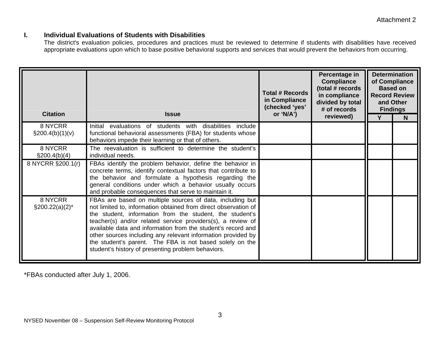#### **I. Individual Evaluations of Students with Disabilities**

The district's evaluation policies, procedures and practices must be reviewed to determine if students with disabilities have received appropriate evaluations upon which to base positive behavioral supports and services that would prevent the behaviors from occurring.

| <b>Citation</b>               | <b>Issue</b>                                                                                                                                                                                                                                                                                                                                                                                                                                                                                              | <b>Total # Records</b><br>in Compliance<br>(checked 'yes'<br>or 'N/A') | Percentage in<br><b>Compliance</b><br>(total # records<br>in compliance<br>divided by total<br># of records<br>reviewed) | <b>Determination</b><br>of Compliance<br><b>Based on</b><br><b>Record Review</b><br>and Other<br><b>Findings</b><br>N |  |
|-------------------------------|-----------------------------------------------------------------------------------------------------------------------------------------------------------------------------------------------------------------------------------------------------------------------------------------------------------------------------------------------------------------------------------------------------------------------------------------------------------------------------------------------------------|------------------------------------------------------------------------|--------------------------------------------------------------------------------------------------------------------------|-----------------------------------------------------------------------------------------------------------------------|--|
| 8 NYCRR<br>$\S200.4(b)(1)(v)$ | Initial evaluations of students with disabilities include<br>functional behavioral assessments (FBA) for students whose<br>behaviors impede their learning or that of others.                                                                                                                                                                                                                                                                                                                             |                                                                        |                                                                                                                          |                                                                                                                       |  |
| 8 NYCRR<br>$\S200.4(b)(4)$    | The reevaluation is sufficient to determine the student's<br>individual needs.                                                                                                                                                                                                                                                                                                                                                                                                                            |                                                                        |                                                                                                                          |                                                                                                                       |  |
| 8 NYCRR §200.1(r)             | FBAs identify the problem behavior, define the behavior in<br>concrete terms, identify contextual factors that contribute to<br>the behavior and formulate a hypothesis regarding the<br>general conditions under which a behavior usually occurs<br>and probable consequences that serve to maintain it.                                                                                                                                                                                                 |                                                                        |                                                                                                                          |                                                                                                                       |  |
| 8 NYCRR<br>$\S200.22(a)(2)^*$ | FBAs are based on multiple sources of data, including but<br>not limited to, information obtained from direct observation of<br>the student, information from the student, the student's<br>teacher(s) and/or related service providers(s), a review of<br>available data and information from the student's record and<br>other sources including any relevant information provided by<br>the student's parent. The FBA is not based solely on the<br>student's history of presenting problem behaviors. |                                                                        |                                                                                                                          |                                                                                                                       |  |

\*FBAs conducted after July 1, 2006.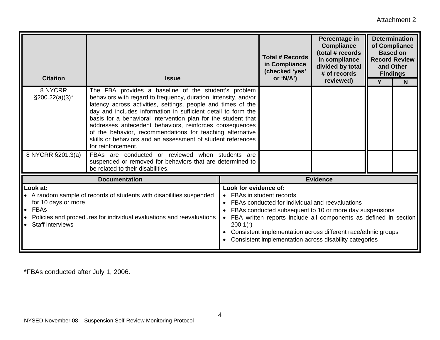Attachment 2

| <b>Citation</b>                                                                                                                                                                                                              | <b>Issue</b>                                                                                                                                                                                                                                                                                                                                                                                                                                                                                                                           |                                                                            | <b>Total # Records</b><br>in Compliance<br>(checked 'yes'<br>or 'N/A')                                                                                                                                                                                 | Percentage in<br><b>Compliance</b><br>(total # records<br>in compliance<br>divided by total<br># of records<br>reviewed) | <b>Based on</b><br>and Other<br>Y | <b>Determination</b><br>of Compliance<br><b>Record Review</b><br><b>Findings</b><br>$\mathsf{N}$ |
|------------------------------------------------------------------------------------------------------------------------------------------------------------------------------------------------------------------------------|----------------------------------------------------------------------------------------------------------------------------------------------------------------------------------------------------------------------------------------------------------------------------------------------------------------------------------------------------------------------------------------------------------------------------------------------------------------------------------------------------------------------------------------|----------------------------------------------------------------------------|--------------------------------------------------------------------------------------------------------------------------------------------------------------------------------------------------------------------------------------------------------|--------------------------------------------------------------------------------------------------------------------------|-----------------------------------|--------------------------------------------------------------------------------------------------|
| 8 NYCRR<br>$\S200.22(a)(3)^*$                                                                                                                                                                                                | The FBA provides a baseline of the student's problem<br>behaviors with regard to frequency, duration, intensity, and/or<br>latency across activities, settings, people and times of the<br>day and includes information in sufficient detail to form the<br>basis for a behavioral intervention plan for the student that<br>addresses antecedent behaviors, reinforces consequences<br>of the behavior, recommendations for teaching alternative<br>skills or behaviors and an assessment of student references<br>for reinforcement. |                                                                            |                                                                                                                                                                                                                                                        |                                                                                                                          |                                   |                                                                                                  |
| 8 NYCRR §201.3(a)                                                                                                                                                                                                            | FBAs are conducted or reviewed when students are<br>suspended or removed for behaviors that are determined to<br>be related to their disabilities.                                                                                                                                                                                                                                                                                                                                                                                     |                                                                            |                                                                                                                                                                                                                                                        |                                                                                                                          |                                   |                                                                                                  |
|                                                                                                                                                                                                                              | <b>Documentation</b>                                                                                                                                                                                                                                                                                                                                                                                                                                                                                                                   |                                                                            |                                                                                                                                                                                                                                                        | <b>Evidence</b>                                                                                                          |                                   |                                                                                                  |
| Look at:<br>• A random sample of records of students with disabilities suspended<br>for 10 days or more<br>$\bullet$ FBAs<br>Policies and procedures for individual evaluations and reevaluations<br><b>Staff interviews</b> | Look for evidence of:<br>200.1(r)                                                                                                                                                                                                                                                                                                                                                                                                                                                                                                      | FBAs in student records<br>FBAs conducted for individual and reevaluations | FBAs conducted subsequent to 10 or more day suspensions<br>FBA written reports include all components as defined in section<br>Consistent implementation across different race/ethnic groups<br>Consistent implementation across disability categories |                                                                                                                          |                                   |                                                                                                  |

\*FBAs conducted after July 1, 2006.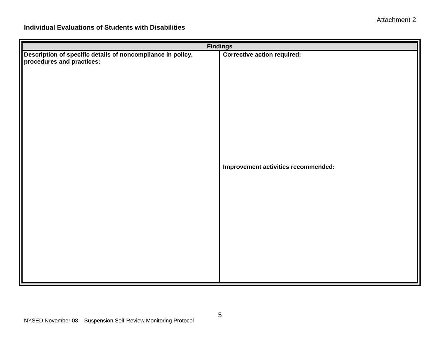| <b>Findings</b>                                                                          |                                     |  |  |  |
|------------------------------------------------------------------------------------------|-------------------------------------|--|--|--|
| Description of specific details of noncompliance in policy,<br>procedures and practices: | <b>Corrective action required:</b>  |  |  |  |
|                                                                                          | Improvement activities recommended: |  |  |  |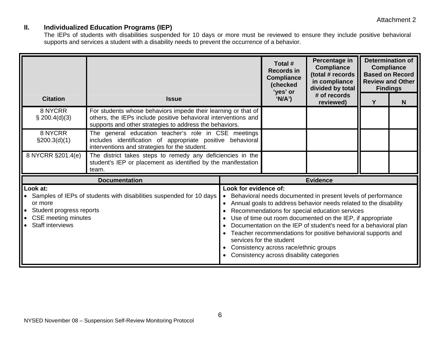#### **II. Individualized Education Programs (IEP)**

The IEPs of students with disabilities suspended for 10 days or more must be reviewed to ensure they include positive behavioral supports and services a student with a disability needs to prevent the occurrence of a behavior.

| <b>Citation</b>                                                                                                                                                                                | <b>Issue</b>                                                                                                                                                                               |                                                                                                               | Total #<br><b>Records in</b><br><b>Compliance</b><br>(checked<br>'yes' or<br>'N/A')                                                                                                                                                                                                                                                                                                  | Percentage in<br><b>Compliance</b><br>(total # records<br>in compliance<br>divided by total<br># of records<br>reviewed) | <b>Compliance</b><br><b>Based on Record</b><br><b>Review and Other</b><br><b>Findings</b><br>Y | <b>Determination of</b><br>N |  |
|------------------------------------------------------------------------------------------------------------------------------------------------------------------------------------------------|--------------------------------------------------------------------------------------------------------------------------------------------------------------------------------------------|---------------------------------------------------------------------------------------------------------------|--------------------------------------------------------------------------------------------------------------------------------------------------------------------------------------------------------------------------------------------------------------------------------------------------------------------------------------------------------------------------------------|--------------------------------------------------------------------------------------------------------------------------|------------------------------------------------------------------------------------------------|------------------------------|--|
| 8 NYCRR<br>\$200.4(d)(3)                                                                                                                                                                       | For students whose behaviors impede their learning or that of<br>others, the IEPs include positive behavioral interventions and<br>supports and other strategies to address the behaviors. |                                                                                                               |                                                                                                                                                                                                                                                                                                                                                                                      |                                                                                                                          |                                                                                                |                              |  |
| 8 NYCRR<br>\$200.3(d)(1)                                                                                                                                                                       | The general education teacher's role in CSE meetings<br>includes identification of appropriate positive behavioral<br>interventions and strategies for the student.                        |                                                                                                               |                                                                                                                                                                                                                                                                                                                                                                                      |                                                                                                                          |                                                                                                |                              |  |
| 8 NYCRR §201.4(e)                                                                                                                                                                              | The district takes steps to remedy any deficiencies in the<br>student's IEP or placement as identified by the manifestation<br>team.                                                       |                                                                                                               |                                                                                                                                                                                                                                                                                                                                                                                      |                                                                                                                          |                                                                                                |                              |  |
|                                                                                                                                                                                                | <b>Documentation</b>                                                                                                                                                                       |                                                                                                               | <b>Evidence</b>                                                                                                                                                                                                                                                                                                                                                                      |                                                                                                                          |                                                                                                |                              |  |
| Look at:<br>• Samples of IEPs of students with disabilities suspended for 10 days<br>or more<br>Student progress reports<br><b>CSE</b> meeting minutes<br>$\bullet$<br><b>Staff interviews</b> | Look for evidence of:<br>$\bullet$<br>$\bullet$                                                                                                                                            | services for the student<br>Consistency across race/ethnic groups<br>Consistency across disability categories | Behavioral needs documented in present levels of performance<br>Annual goals to address behavior needs related to the disability<br>Recommendations for special education services<br>Use of time out room documented on the IEP, if appropriate<br>Documentation on the IEP of student's need for a behavioral plan<br>Teacher recommendations for positive behavioral supports and |                                                                                                                          |                                                                                                |                              |  |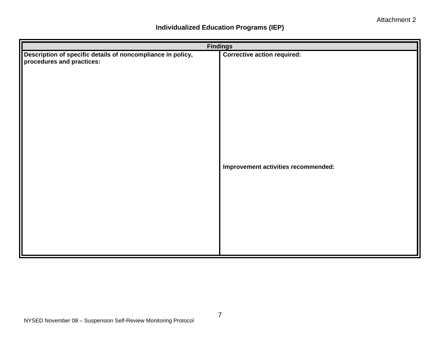## **Individualized Education Programs (IEP)**

|                                                                                          | <b>Findings</b>                     |
|------------------------------------------------------------------------------------------|-------------------------------------|
| Description of specific details of noncompliance in policy,<br>procedures and practices: | <b>Corrective action required:</b>  |
|                                                                                          | Improvement activities recommended: |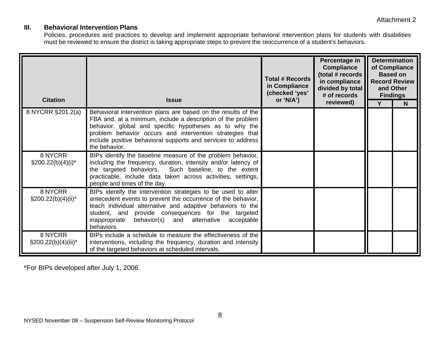#### **III. Behavioral Intervention Plans**

Policies, procedures and practices to develop and implement appropriate behavioral intervention plans for students with disabilities must be reviewed to ensure the district is taking appropriate steps to prevent the reoccurrence of a student's behaviors.

| <b>Citation</b>                    | <b>Issue</b>                                                                                                                                                                                                                                                                                                                        | <b>Total # Records</b><br>in Compliance<br>(checked 'yes'<br>or 'N/A') | Percentage in<br><b>Compliance</b><br>(total # records<br>in compliance<br>divided by total<br># of records<br>reviewed) | <b>Determination</b><br>of Compliance<br><b>Based on</b><br><b>Record Review</b><br>and Other<br><b>Findings</b><br>Y<br>N |  |
|------------------------------------|-------------------------------------------------------------------------------------------------------------------------------------------------------------------------------------------------------------------------------------------------------------------------------------------------------------------------------------|------------------------------------------------------------------------|--------------------------------------------------------------------------------------------------------------------------|----------------------------------------------------------------------------------------------------------------------------|--|
| 8 NYCRR §201.2(a)                  | Behavioral intervention plans are based on the results of the<br>FBA and, at a minimum, include a description of the problem<br>behavior, global and specific hypotheses as to why the<br>problem behavior occurs and intervention strategies that<br>include positive behavioral supports and services to address<br>the behavior. |                                                                        |                                                                                                                          |                                                                                                                            |  |
| 8 NYCRR<br>$\S200.22(b)(4)(i)^*$   | BIPs identify the baseline measure of the problem behavior,<br>including the frequency, duration, intensity and/or latency of<br>the targeted behaviors. Such baseline, to the extent<br>practicable, include data taken across activities, settings,<br>people and times of the day.                                               |                                                                        |                                                                                                                          |                                                                                                                            |  |
| 8 NYCRR<br>$\S200.22(b)(4)(ii)^*$  | BIPs identify the intervention strategies to be used to alter<br>antecedent events to prevent the occurrence of the behavior,<br>teach individual alternative and adaptive behaviors to the<br>student, and provide consequences for the targeted<br>inappropriate behavior(s) and alternative acceptable<br>behaviors.             |                                                                        |                                                                                                                          |                                                                                                                            |  |
| 8 NYCRR<br>$\S200.22(b)(4)(iii)^*$ | BIPs include a schedule to measure the effectiveness of the<br>interventions, including the frequency, duration and intensity<br>of the targeted behaviors at scheduled intervals.                                                                                                                                                  |                                                                        |                                                                                                                          |                                                                                                                            |  |

\*For BIPs developed after July 1, 2006.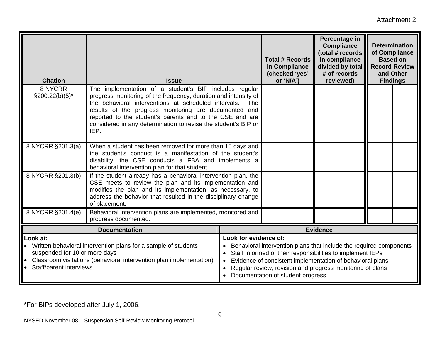Attachment 2

| <b>Citation</b>                                                                                                                                                                                                 | <b>Issue</b>                                                                                                                                                                                                                                                                                                                                                                     |                       | <b>Total # Records</b><br>in Compliance<br>(checked 'yes'<br>or 'N/A')                                                                                                                                                                                                                          | Percentage in<br><b>Compliance</b><br>(total # records<br>in compliance<br>divided by total<br># of records<br>reviewed) | <b>Determination</b><br>of Compliance<br><b>Based on</b><br><b>Record Review</b><br>and Other<br><b>Findings</b> |  |
|-----------------------------------------------------------------------------------------------------------------------------------------------------------------------------------------------------------------|----------------------------------------------------------------------------------------------------------------------------------------------------------------------------------------------------------------------------------------------------------------------------------------------------------------------------------------------------------------------------------|-----------------------|-------------------------------------------------------------------------------------------------------------------------------------------------------------------------------------------------------------------------------------------------------------------------------------------------|--------------------------------------------------------------------------------------------------------------------------|------------------------------------------------------------------------------------------------------------------|--|
| 8 NYCRR<br>$\S200.22(b)(5)^*$                                                                                                                                                                                   | The implementation of a student's BIP includes regular<br>progress monitoring of the frequency, duration and intensity of<br>the behavioral interventions at scheduled intervals.<br>results of the progress monitoring are documented and<br>reported to the student's parents and to the CSE and are<br>considered in any determination to revise the student's BIP or<br>IEP. | The                   |                                                                                                                                                                                                                                                                                                 |                                                                                                                          |                                                                                                                  |  |
| 8 NYCRR §201.3(a)                                                                                                                                                                                               | When a student has been removed for more than 10 days and<br>the student's conduct is a manifestation of the student's<br>disability, the CSE conducts a FBA and implements a<br>behavioral intervention plan for that student.                                                                                                                                                  |                       |                                                                                                                                                                                                                                                                                                 |                                                                                                                          |                                                                                                                  |  |
| 8 NYCRR §201.3(b)                                                                                                                                                                                               | If the student already has a behavioral intervention plan, the<br>CSE meets to review the plan and its implementation and<br>modifies the plan and its implementation, as necessary, to<br>address the behavior that resulted in the disciplinary change<br>of placement.                                                                                                        |                       |                                                                                                                                                                                                                                                                                                 |                                                                                                                          |                                                                                                                  |  |
| 8 NYCRR §201.4(e)                                                                                                                                                                                               | Behavioral intervention plans are implemented, monitored and<br>progress documented.                                                                                                                                                                                                                                                                                             |                       |                                                                                                                                                                                                                                                                                                 |                                                                                                                          |                                                                                                                  |  |
|                                                                                                                                                                                                                 | <b>Evidence</b>                                                                                                                                                                                                                                                                                                                                                                  |                       |                                                                                                                                                                                                                                                                                                 |                                                                                                                          |                                                                                                                  |  |
| Look at:<br>• Written behavioral intervention plans for a sample of students<br>suspended for 10 or more days<br>Classroom visitations (behavioral intervention plan implementation)<br>Staff/parent interviews |                                                                                                                                                                                                                                                                                                                                                                                  | Look for evidence of: | Behavioral intervention plans that include the required components<br>Staff informed of their responsibilities to implement IEPs<br>Evidence of consistent implementation of behavioral plans<br>Regular review, revision and progress monitoring of plans<br>Documentation of student progress |                                                                                                                          |                                                                                                                  |  |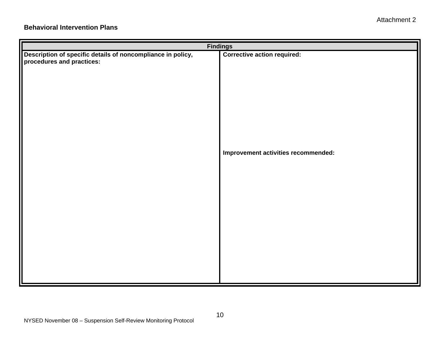#### **Behavioral Intervention Plans**

| Description of specific details of noncompliance in policy,<br>procedures and practices: | <b>Findings</b><br><b>Corrective action required:</b><br>Improvement activities recommended: |  |  |  |
|------------------------------------------------------------------------------------------|----------------------------------------------------------------------------------------------|--|--|--|
|                                                                                          |                                                                                              |  |  |  |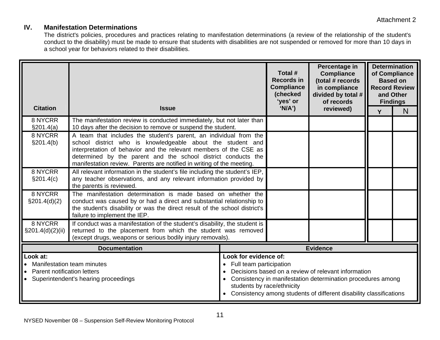#### **IV. Manifestation Determinations**

The district's policies, procedures and practices relating to manifestation determinations (a review of the relationship of the student's conduct to the disability) must be made to ensure that students with disabilities are not suspended or removed for more than 10 days in a school year for behaviors related to their disabilities.

|                                                                                    |                                                                                                                                                                                                                                                                                                                                                | Total #<br><b>Records in</b><br><b>Compliance</b><br>(checked<br>'yes' or                                                                                                                                                                                                      |        | Percentage in<br><b>Compliance</b><br>(total # records<br>in compliance<br>divided by total #<br>of records | <b>Determination</b><br>of Compliance<br><b>Based on</b><br><b>Record Review</b><br>and Other<br><b>Findings</b> |                |
|------------------------------------------------------------------------------------|------------------------------------------------------------------------------------------------------------------------------------------------------------------------------------------------------------------------------------------------------------------------------------------------------------------------------------------------|--------------------------------------------------------------------------------------------------------------------------------------------------------------------------------------------------------------------------------------------------------------------------------|--------|-------------------------------------------------------------------------------------------------------------|------------------------------------------------------------------------------------------------------------------|----------------|
| <b>Citation</b>                                                                    | <b>Issue</b>                                                                                                                                                                                                                                                                                                                                   |                                                                                                                                                                                                                                                                                | 'N/A') | reviewed)                                                                                                   | Y                                                                                                                | N <sub>1</sub> |
| 8 NYCRR<br>\$201.4(a)                                                              | The manifestation review is conducted immediately, but not later than<br>10 days after the decision to remove or suspend the student.                                                                                                                                                                                                          |                                                                                                                                                                                                                                                                                |        |                                                                                                             |                                                                                                                  |                |
| 8 NYCRR<br>§201.4(b)                                                               | A team that includes the student's parent, an individual from the<br>school district who is knowledgeable about the student and<br>interpretation of behavior and the relevant members of the CSE as<br>determined by the parent and the school district conducts the<br>manifestation review. Parents are notified in writing of the meeting. |                                                                                                                                                                                                                                                                                |        |                                                                                                             |                                                                                                                  |                |
| 8 NYCRR<br>§201.4(c)                                                               | All relevant information in the student's file including the student's IEP,<br>any teacher observations, and any relevant information provided by<br>the parents is reviewed.                                                                                                                                                                  |                                                                                                                                                                                                                                                                                |        |                                                                                                             |                                                                                                                  |                |
| 8 NYCRR<br>$\S 201.4(d)(2)$                                                        | The manifestation determination is made based on whether the<br>conduct was caused by or had a direct and substantial relationship to<br>the student's disability or was the direct result of the school district's<br>failure to implement the IEP.                                                                                           |                                                                                                                                                                                                                                                                                |        |                                                                                                             |                                                                                                                  |                |
| 8 NYCRR<br>$\S201.4(d)(2)(ii)$                                                     | If conduct was a manifestation of the student's disability, the student is<br>returned to the placement from which the student was removed<br>(except drugs, weapons or serious bodily injury removals).                                                                                                                                       |                                                                                                                                                                                                                                                                                |        |                                                                                                             |                                                                                                                  |                |
| <b>Documentation</b><br><b>Evidence</b>                                            |                                                                                                                                                                                                                                                                                                                                                |                                                                                                                                                                                                                                                                                |        |                                                                                                             |                                                                                                                  |                |
| Look at:<br>Manifestation team minutes<br>Parent notification letters<br>$\bullet$ | Superintendent's hearing proceedings                                                                                                                                                                                                                                                                                                           | Look for evidence of:<br>• Full team participation<br>Decisions based on a review of relevant information<br>Consistency in manifestation determination procedures among<br>students by race/ethnicity<br>• Consistency among students of different disability classifications |        |                                                                                                             |                                                                                                                  |                |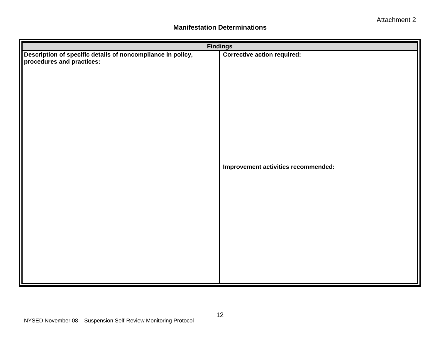#### **Manifestation Determinations**

| <b>Findings</b>                                                                          |                                     |  |  |  |
|------------------------------------------------------------------------------------------|-------------------------------------|--|--|--|
| Description of specific details of noncompliance in policy,<br>procedures and practices: | <b>Corrective action required:</b>  |  |  |  |
|                                                                                          | Improvement activities recommended: |  |  |  |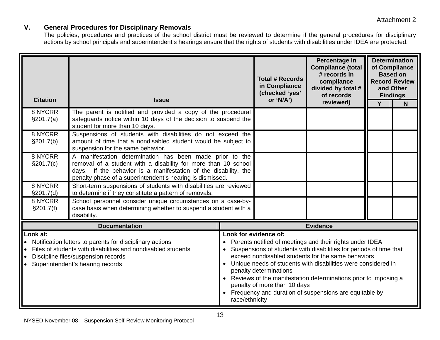#### **V. General Procedures for Disciplinary Removals**

The policies, procedures and practices of the school district must be reviewed to determine if the general procedures for disciplinary actions by school principals and superintendent's hearings ensure that the rights of students with disabilities under IDEA are protected.

| <b>Citation</b>       | <b>Issue</b>                                                                                                                                                                                                                                               |  | <b>Total # Records</b><br>in Compliance<br>(checked 'yes'<br>or 'N/A')                                                                                                                                                                                                                                                                                                                                                                                                                  | Percentage in<br><b>Compliance (total</b><br># records in<br>compliance<br>divided by total #<br>of records | <b>Findings</b> | <b>Determination</b><br>of Compliance<br><b>Based on</b><br><b>Record Review</b><br>and Other |
|-----------------------|------------------------------------------------------------------------------------------------------------------------------------------------------------------------------------------------------------------------------------------------------------|--|-----------------------------------------------------------------------------------------------------------------------------------------------------------------------------------------------------------------------------------------------------------------------------------------------------------------------------------------------------------------------------------------------------------------------------------------------------------------------------------------|-------------------------------------------------------------------------------------------------------------|-----------------|-----------------------------------------------------------------------------------------------|
|                       |                                                                                                                                                                                                                                                            |  |                                                                                                                                                                                                                                                                                                                                                                                                                                                                                         | reviewed)                                                                                                   | $\overline{Y}$  | N                                                                                             |
| 8 NYCRR<br>\$201.7(a) | The parent is notified and provided a copy of the procedural<br>safeguards notice within 10 days of the decision to suspend the<br>student for more than 10 days.                                                                                          |  |                                                                                                                                                                                                                                                                                                                                                                                                                                                                                         |                                                                                                             |                 |                                                                                               |
| 8 NYCRR<br>§201.7(b)  | Suspensions of students with disabilities do not exceed the<br>amount of time that a nondisabled student would be subject to<br>suspension for the same behavior.                                                                                          |  |                                                                                                                                                                                                                                                                                                                                                                                                                                                                                         |                                                                                                             |                 |                                                                                               |
| 8 NYCRR<br>§201.7(c)  | A manifestation determination has been made prior to the<br>removal of a student with a disability for more than 10 school<br>days. If the behavior is a manifestation of the disability, the<br>penalty phase of a superintendent's hearing is dismissed. |  |                                                                                                                                                                                                                                                                                                                                                                                                                                                                                         |                                                                                                             |                 |                                                                                               |
| 8 NYCRR<br>§201.7(d)  | Short-term suspensions of students with disabilities are reviewed<br>to determine if they constitute a pattern of removals.                                                                                                                                |  |                                                                                                                                                                                                                                                                                                                                                                                                                                                                                         |                                                                                                             |                 |                                                                                               |
| 8 NYCRR<br>§201.7(f)  | School personnel consider unique circumstances on a case-by-<br>case basis when determining whether to suspend a student with a<br>disability.                                                                                                             |  |                                                                                                                                                                                                                                                                                                                                                                                                                                                                                         |                                                                                                             |                 |                                                                                               |
|                       | <b>Documentation</b>                                                                                                                                                                                                                                       |  |                                                                                                                                                                                                                                                                                                                                                                                                                                                                                         | <b>Evidence</b>                                                                                             |                 |                                                                                               |
| Look at:              | Notification letters to parents for disciplinary actions<br>Files of students with disabilities and nondisabled students<br>Discipline files/suspension records<br>$\bullet$<br>Superintendent's hearing records                                           |  | Look for evidence of:<br>Parents notified of meetings and their rights under IDEA<br>Suspensions of students with disabilities for periods of time that<br>exceed nondisabled students for the same behaviors<br>Unique needs of students with disabilities were considered in<br>penalty determinations<br>Reviews of the manifestation determinations prior to imposing a<br>penalty of more than 10 days<br>Frequency and duration of suspensions are equitable by<br>race/ethnicity |                                                                                                             |                 |                                                                                               |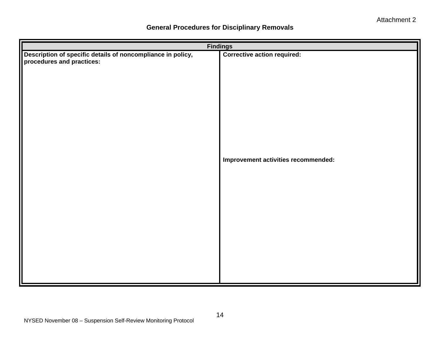#### **General Procedures for Disciplinary Removals**

| <b>Findings</b>                                                                          |                                     |  |  |  |  |
|------------------------------------------------------------------------------------------|-------------------------------------|--|--|--|--|
| Description of specific details of noncompliance in policy,<br>procedures and practices: | <b>Corrective action required:</b>  |  |  |  |  |
|                                                                                          | Improvement activities recommended: |  |  |  |  |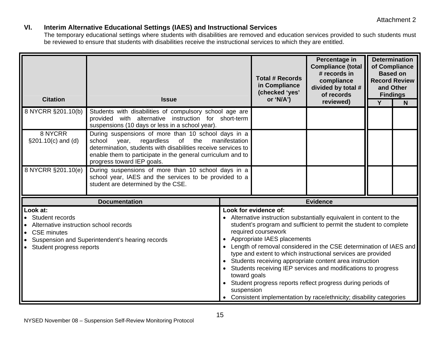#### **VI. Interim Alternative Educational Settings (IAES) and Instructional Services**

The temporary educational settings where students with disabilities are removed and education services provided to such students must be reviewed to ensure that students with disabilities receive the instructional services to which they are entitled.

| <b>Citation</b>                                                                                                                                   | <b>Issue</b>                                                                                                                                                                                                                                                    |                                                                                                                                                                                                                                                                                                                                                                                                                                                                                                                                                                                                                                                                   | <b>Total # Records</b><br>in Compliance<br>(checked 'yes'<br>or 'N/A') | Percentage in<br><b>Compliance (total</b><br># records in<br>compliance<br>divided by total #<br>of records<br>reviewed) | Y | <b>Determination</b><br>of Compliance<br><b>Based on</b><br><b>Record Review</b><br>and Other<br><b>Findings</b><br>N |
|---------------------------------------------------------------------------------------------------------------------------------------------------|-----------------------------------------------------------------------------------------------------------------------------------------------------------------------------------------------------------------------------------------------------------------|-------------------------------------------------------------------------------------------------------------------------------------------------------------------------------------------------------------------------------------------------------------------------------------------------------------------------------------------------------------------------------------------------------------------------------------------------------------------------------------------------------------------------------------------------------------------------------------------------------------------------------------------------------------------|------------------------------------------------------------------------|--------------------------------------------------------------------------------------------------------------------------|---|-----------------------------------------------------------------------------------------------------------------------|
| 8 NYCRR §201.10(b)                                                                                                                                | Students with disabilities of compulsory school age are<br>provided with alternative instruction for short-term<br>suspensions (10 days or less in a school year).                                                                                              |                                                                                                                                                                                                                                                                                                                                                                                                                                                                                                                                                                                                                                                                   |                                                                        |                                                                                                                          |   |                                                                                                                       |
| 8 NYCRR<br>$\S 201.10(c)$ and (d)                                                                                                                 | During suspensions of more than 10 school days in a<br>regardless<br>of<br>the<br>school<br>year,<br>determination, students with disabilities receive services to<br>enable them to participate in the general curriculum and to<br>progress toward IEP goals. | manifestation                                                                                                                                                                                                                                                                                                                                                                                                                                                                                                                                                                                                                                                     |                                                                        |                                                                                                                          |   |                                                                                                                       |
| 8 NYCRR §201.10(e)                                                                                                                                | During suspensions of more than 10 school days in a<br>school year, IAES and the services to be provided to a<br>student are determined by the CSE.                                                                                                             |                                                                                                                                                                                                                                                                                                                                                                                                                                                                                                                                                                                                                                                                   |                                                                        |                                                                                                                          |   |                                                                                                                       |
|                                                                                                                                                   | <b>Documentation</b>                                                                                                                                                                                                                                            |                                                                                                                                                                                                                                                                                                                                                                                                                                                                                                                                                                                                                                                                   |                                                                        | <b>Evidence</b>                                                                                                          |   |                                                                                                                       |
| Look at:<br>Student records<br>Alternative instruction school records<br><b>CSE</b> minutes<br>$\bullet$<br>Student progress reports<br>$\bullet$ | Suspension and Superintendent's hearing records                                                                                                                                                                                                                 | Look for evidence of:<br>• Alternative instruction substantially equivalent in content to the<br>student's program and sufficient to permit the student to complete<br>required coursework<br>Appropriate IAES placements<br>Length of removal considered in the CSE determination of IAES and<br>type and extent to which instructional services are provided<br>• Students receiving appropriate content area instruction<br>Students receiving IEP services and modifications to progress<br>toward goals<br>• Student progress reports reflect progress during periods of<br>suspension<br>Consistent implementation by race/ethnicity; disability categories |                                                                        |                                                                                                                          |   |                                                                                                                       |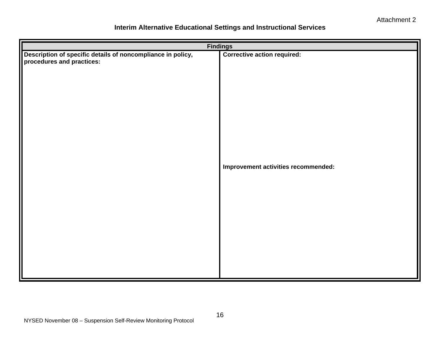#### **Interim Alternative Educational Settings and Instructional Services**

| <b>Findings</b>                                                                          |                                     |  |  |  |
|------------------------------------------------------------------------------------------|-------------------------------------|--|--|--|
| Description of specific details of noncompliance in policy,<br>procedures and practices: | <b>Corrective action required:</b>  |  |  |  |
|                                                                                          | Improvement activities recommended: |  |  |  |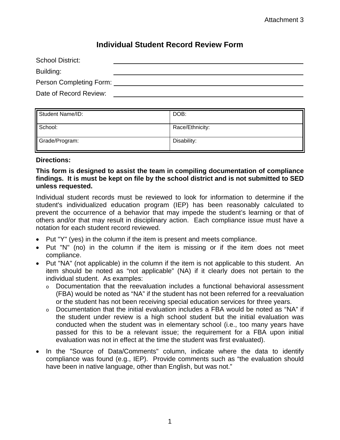## **Individual Student Record Review Form**

| School District:        |  |
|-------------------------|--|
| Building:               |  |
| Person Completing Form: |  |
| Date of Record Review:  |  |

| Student Name/ID: | DOB:            |
|------------------|-----------------|
| School:          | Race/Ethnicity: |
| Grade/Program:   | Disability:     |

#### **Directions:**

#### **This form is designed to assist the team in compiling documentation of compliance findings. It is must be kept on file by the school district and is not submitted to SED unless requested.**

Individual student records must be reviewed to look for information to determine if the student's individualized education program (IEP) has been reasonably calculated to prevent the occurrence of a behavior that may impede the student's learning or that of others and/or that may result in disciplinary action. Each compliance issue must have a notation for each student record reviewed.

- Put "Y" (yes) in the column if the item is present and meets compliance.
- Put "N" (no) in the column if the item is missing or if the item does not meet compliance.
- Put "NA" (not applicable) in the column if the item is not applicable to this student. An item should be noted as "not applicable" (NA) if it clearly does not pertain to the individual student. As examples:
	- o Documentation that the reevaluation includes a functional behavioral assessment (FBA) would be noted as "NA" if the student has not been referred for a reevaluation or the student has not been receiving special education services for three years.
	- o Documentation that the initial evaluation includes a FBA would be noted as "NA" if the student under review is a high school student but the initial evaluation was conducted when the student was in elementary school (i.e., too many years have passed for this to be a relevant issue; the requirement for a FBA upon initial evaluation was not in effect at the time the student was first evaluated).
- In the "Source of Data/Comments" column, indicate where the data to identify compliance was found (e.g., IEP). Provide comments such as "the evaluation should have been in native language, other than English, but was not."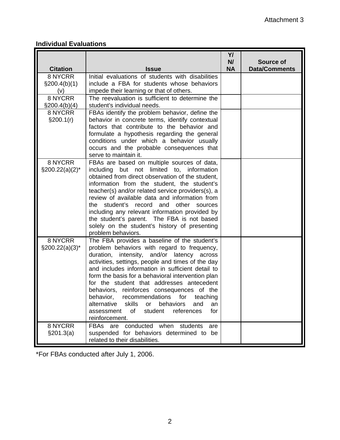### **Individual Evaluations**

|                                   |                                                                                                                                                                                                                                                                                                                                                                                                                                                                                                                                                                            | YI<br>N/  | Source of            |
|-----------------------------------|----------------------------------------------------------------------------------------------------------------------------------------------------------------------------------------------------------------------------------------------------------------------------------------------------------------------------------------------------------------------------------------------------------------------------------------------------------------------------------------------------------------------------------------------------------------------------|-----------|----------------------|
| <b>Citation</b>                   | <b>Issue</b>                                                                                                                                                                                                                                                                                                                                                                                                                                                                                                                                                               | <b>NA</b> | <b>Data/Comments</b> |
| 8 NYCRR<br>$\S200.4(b)(1)$<br>(v) | Initial evaluations of students with disabilities<br>include a FBA for students whose behaviors<br>impede their learning or that of others.                                                                                                                                                                                                                                                                                                                                                                                                                                |           |                      |
| 8 NYCRR<br>\$200.4(b)(4)          | The reevaluation is sufficient to determine the<br>student's individual needs.                                                                                                                                                                                                                                                                                                                                                                                                                                                                                             |           |                      |
| 8 NYCRR<br>§200.1(r)              | FBAs identify the problem behavior, define the<br>behavior in concrete terms, identify contextual<br>factors that contribute to the behavior and<br>formulate a hypothesis regarding the general<br>conditions under which a behavior usually<br>occurs and the probable consequences that<br>serve to maintain it.                                                                                                                                                                                                                                                        |           |                      |
| 8 NYCRR<br>$\S200.22(a)(2)^*$     | FBAs are based on multiple sources of data,<br>including but not limited to, information<br>obtained from direct observation of the student,<br>information from the student, the student's<br>teacher(s) and/or related service providers(s), a<br>review of available data and information from<br>student's record and other<br>the<br>sources<br>including any relevant information provided by<br>the student's parent. The FBA is not based<br>solely on the student's history of presenting<br>problem behaviors.                                                   |           |                      |
| 8 NYCRR<br>$\S200.22(a)(3)^*$     | The FBA provides a baseline of the student's<br>problem behaviors with regard to frequency,<br>duration, intensity, and/or latency across<br>activities, settings, people and times of the day<br>and includes information in sufficient detail to<br>form the basis for a behavioral intervention plan<br>for the student that addresses antecedent<br>behaviors, reinforces consequences of the<br>recommendations for teaching<br>behavior,<br>skills<br>an<br>alternative<br>or behaviors<br>and<br>of<br>references<br>assessment<br>student<br>for<br>reinforcement. |           |                      |
| 8 NYCRR<br>§201.3(a)              | conducted when students<br>FBAs are<br>are<br>suspended for behaviors determined to be<br>related to their disabilities.                                                                                                                                                                                                                                                                                                                                                                                                                                                   |           |                      |

\*For FBAs conducted after July 1, 2006.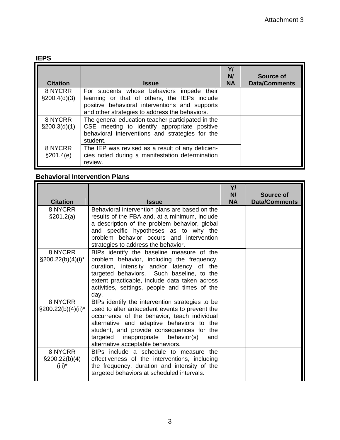#### **IEPS**

| <b>Citation</b>            | <b>Issue</b>                                                                                                                                                                                  | Y/<br>N/<br><b>NA</b> | Source of<br><b>Data/Comments</b> |
|----------------------------|-----------------------------------------------------------------------------------------------------------------------------------------------------------------------------------------------|-----------------------|-----------------------------------|
| 8 NYCRR<br>$\S200.4(d)(3)$ | For students whose behaviors impede their<br>learning or that of others, the IEPs include<br>positive behavioral interventions and supports<br>and other strategies to address the behaviors. |                       |                                   |
| 8 NYCRR<br>$\S200.3(d)(1)$ | The general education teacher participated in the<br>CSE meeting to identify appropriate positive<br>behavioral interventions and strategies for the<br>student.                              |                       |                                   |
| 8 NYCRR<br>§201.4(e)       | The IEP was revised as a result of any deficien-<br>cies noted during a manifestation determination<br>review.                                                                                |                       |                                   |

## **Behavioral Intervention Plans**

|                                          |                                                                                                                                                                                                                                                                                                                                  | Y/<br>N/  | Source of            |
|------------------------------------------|----------------------------------------------------------------------------------------------------------------------------------------------------------------------------------------------------------------------------------------------------------------------------------------------------------------------------------|-----------|----------------------|
| <b>Citation</b>                          | <b>Issue</b>                                                                                                                                                                                                                                                                                                                     | <b>NA</b> | <b>Data/Comments</b> |
| 8 NYCRR<br>\$201.2(a)                    | Behavioral intervention plans are based on the<br>results of the FBA and, at a minimum, include<br>a description of the problem behavior, global<br>and specific hypotheses as to why the<br>problem behavior occurs and intervention<br>strategies to address the behavior.                                                     |           |                      |
| 8 NYCRR<br>$\S200.22(b)(4)(i)^*$         | BIPs identify the baseline measure of the<br>problem behavior, including the frequency,<br>duration, intensity and/or latency of the<br>targeted behaviors. Such baseline, to the<br>extent practicable, include data taken across<br>activities, settings, people and times of the<br>day.                                      |           |                      |
| 8 NYCRR<br>§200.22(b)(4)(ii)*            | BIPs identify the intervention strategies to be<br>used to alter antecedent events to prevent the<br>occurrence of the behavior, teach individual<br>alternative and adaptive behaviors to the<br>student, and provide consequences for the<br>inappropriate behavior(s)<br>targeted<br>and<br>alternative acceptable behaviors. |           |                      |
| 8 NYCRR<br>$\S200.22(b)(4)$<br>$(iii)^*$ | BIPs include a schedule to measure the<br>effectiveness of the interventions, including<br>the frequency, duration and intensity of the<br>targeted behaviors at scheduled intervals.                                                                                                                                            |           |                      |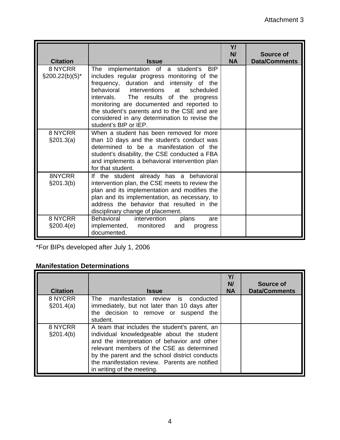| <b>Citation</b>                | <b>Issue</b>                                                                                                                                                                                                                                                                                                                                                                                  | Y/<br>N/<br><b>NA</b> | Source of<br><b>Data/Comments</b> |
|--------------------------------|-----------------------------------------------------------------------------------------------------------------------------------------------------------------------------------------------------------------------------------------------------------------------------------------------------------------------------------------------------------------------------------------------|-----------------------|-----------------------------------|
| 8 NYCRR<br>$\S 200.22(b)(5)^*$ | The implementation of a student's BIP<br>includes regular progress monitoring of the<br>frequency, duration and intensity of the<br>behavioral interventions at<br>scheduled<br>intervals. The results of the progress<br>monitoring are documented and reported to<br>the student's parents and to the CSE and are<br>considered in any determination to revise the<br>student's BIP or IEP. |                       |                                   |
| 8 NYCRR<br>$\S 201.3(a)$       | When a student has been removed for more<br>than 10 days and the student's conduct was<br>determined to be a manifestation of the<br>student's disability, the CSE conducted a FBA<br>and implements a behavioral intervention plan<br>for that student.                                                                                                                                      |                       |                                   |
| 8NYCRR<br>§201.3(b)            | the student already has a behavioral<br>lf<br>intervention plan, the CSE meets to review the<br>plan and its implementation and modifies the<br>plan and its implementation, as necessary, to<br>address the behavior that resulted in the<br>disciplinary change of placement.                                                                                                               |                       |                                   |
| 8 NYCRR<br>\$200.4(e)          | Behavioral<br>intervention<br>plans<br>are<br>implemented, monitored<br>and<br>progress<br>documented.                                                                                                                                                                                                                                                                                        |                       |                                   |

\*For BIPs developed after July 1, 2006

### **Manifestation Determinations**

| <b>Citation</b>       | <b>Issue</b>                                                                                                                                                                                                                                                                                                               | Y/<br>N/<br><b>NA</b> | Source of<br><b>Data/Comments</b> |
|-----------------------|----------------------------------------------------------------------------------------------------------------------------------------------------------------------------------------------------------------------------------------------------------------------------------------------------------------------------|-----------------------|-----------------------------------|
| 8 NYCRR<br>\$201.4(a) | The manifestation review is conducted<br>immediately, but not later than 10 days after<br>the decision to remove or suspend the<br>student.                                                                                                                                                                                |                       |                                   |
| 8 NYCRR<br>§201.4(b)  | A team that includes the student's parent, an<br>individual knowledgeable about the student<br>and the interpretation of behavior and other<br>relevant members of the CSE as determined<br>by the parent and the school district conducts<br>the manifestation review. Parents are notified<br>in writing of the meeting. |                       |                                   |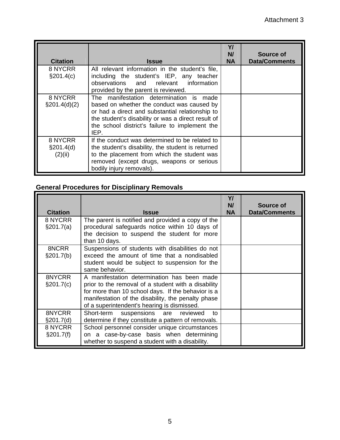| <b>Citation</b>                    | <b>Issue</b>                                                                                                                                                                                                                                             | Y/<br>N/<br><b>NA</b> | Source of<br><b>Data/Comments</b> |
|------------------------------------|----------------------------------------------------------------------------------------------------------------------------------------------------------------------------------------------------------------------------------------------------------|-----------------------|-----------------------------------|
| 8 NYCRR<br>§201.4(c)               | All relevant information in the student's file,<br>including the student's IEP, any teacher<br>observations and relevant information<br>provided by the parent is reviewed.                                                                              |                       |                                   |
| 8 NYCRR<br>$\S201.4(d)(2)$         | The manifestation determination is made<br>based on whether the conduct was caused by<br>or had a direct and substantial relationship to<br>the student's disability or was a direct result of<br>the school district's failure to implement the<br>IEP. |                       |                                   |
| 8 NYCRR<br>$\S201.4(d)$<br>(2)(ii) | If the conduct was determined to be related to<br>the student's disability, the student is returned<br>to the placement from which the student was<br>removed (except drugs, weapons or serious<br>bodily injury removals).                              |                       |                                   |

## **General Procedures for Disciplinary Removals**

| <b>Citation</b>         | <b>Issue</b>                                                                                                                                                                                                                                                  | Y/<br>N/<br><b>NA</b> | Source of<br><b>Data/Comments</b> |
|-------------------------|---------------------------------------------------------------------------------------------------------------------------------------------------------------------------------------------------------------------------------------------------------------|-----------------------|-----------------------------------|
| 8 NYCRR<br>\$201.7(a)   | The parent is notified and provided a copy of the<br>procedural safeguards notice within 10 days of<br>the decision to suspend the student for more<br>than 10 days.                                                                                          |                       |                                   |
| 8NCRR<br>§201.7(b)      | Suspensions of students with disabilities do not<br>exceed the amount of time that a nondisabled<br>student would be subject to suspension for the<br>same behavior.                                                                                          |                       |                                   |
| 8NYCRR<br>$\S 201.7(c)$ | A manifestation determination has been made<br>prior to the removal of a student with a disability<br>for more than 10 school days. If the behavior is a<br>manifestation of the disability, the penalty phase<br>of a superintendent's hearing is dismissed. |                       |                                   |
| 8NYCRR<br>$\S201.7(d)$  | Short-term suspensions are reviewed<br>to<br>determine if they constitute a pattern of removals.                                                                                                                                                              |                       |                                   |
| 8 NYCRR<br>§201.7(f)    | School personnel consider unique circumstances<br>on a case-by-case basis when determining<br>whether to suspend a student with a disability.                                                                                                                 |                       |                                   |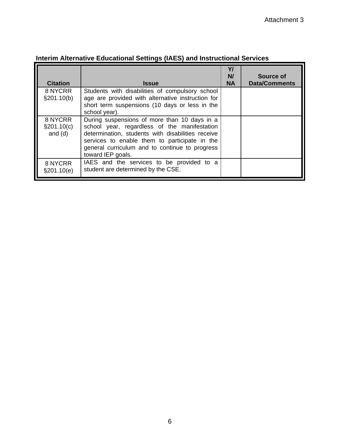| <b>Citation</b>                        | <b>Issue</b>                                                                                                                                                                                                                                                              | Y/<br>N/<br><b>NA</b> | Source of<br><b>Data/Comments</b> |
|----------------------------------------|---------------------------------------------------------------------------------------------------------------------------------------------------------------------------------------------------------------------------------------------------------------------------|-----------------------|-----------------------------------|
| 8 NYCRR<br>§201.10(b)                  | Students with disabilities of compulsory school<br>age are provided with alternative instruction for<br>short term suspensions (10 days or less in the<br>school year).                                                                                                   |                       |                                   |
| 8 NYCRR<br>$\S 201.10(c)$<br>and $(d)$ | During suspensions of more than 10 days in a<br>school year, regardless of the manifestation<br>determination, students with disabilities receive<br>services to enable them to participate in the<br>general curriculum and to continue to progress<br>toward IEP goals. |                       |                                   |
| 8 NYCRR<br>\$201.10(e)                 | IAES and the services to be provided to a<br>student are determined by the CSE.                                                                                                                                                                                           |                       |                                   |

## **Interim Alternative Educational Settings (IAES) and Instructional Services**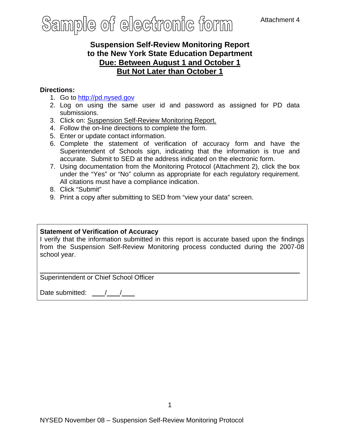## **Suspension Self-Review Monitoring Report to the New York State Education Department Due: Between August 1 and October 1 But Not Later than October 1**

#### **Directions:**

- 1. Go to [http://pd.nysed.gov](http://pd.nysed.gov/)
- 2. Log on using the same user id and password as assigned for PD data submissions.
- 3. Click on: Suspension Self-Review Monitoring Report.
- 4. Follow the on-line directions to complete the form.
- 5. Enter or update contact information.
- 6. Complete the statement of verification of accuracy form and have the Superintendent of Schools sign, indicating that the information is true and accurate. Submit to SED at the address indicated on the electronic form.
- 7. Using documentation from the Monitoring Protocol (Attachment 2), click the box under the "Yes" or "No" column as appropriate for each regulatory requirement. All citations must have a compliance indication.
- 8. Click "Submit"
- 9. Print a copy after submitting to SED from "view your data" screen.

### **Statement of Verification of Accuracy**

I verify that the information submitted in this report is accurate based upon the findings from the Suspension Self-Review Monitoring process conducted during the 2007-08 school year.

Superintendent or Chief School Officer

Date submitted:  $\frac{1}{2}$  /  $\frac{1}{2}$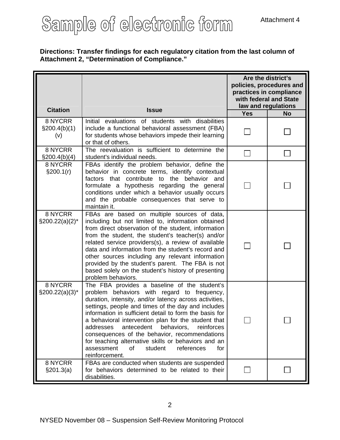#### **Directions: Transfer findings for each regulatory citation from the last column of Attachment 2, "Determination of Compliance."**

| <b>Citation</b>                    | <b>Issue</b>                                                                                                                                                                                                                                                                                                                                                                                                                                                                                                                                                      | Are the district's<br>policies, procedures and<br>practices in compliance<br>with federal and State<br>law and regulations |           |  |
|------------------------------------|-------------------------------------------------------------------------------------------------------------------------------------------------------------------------------------------------------------------------------------------------------------------------------------------------------------------------------------------------------------------------------------------------------------------------------------------------------------------------------------------------------------------------------------------------------------------|----------------------------------------------------------------------------------------------------------------------------|-----------|--|
|                                    |                                                                                                                                                                                                                                                                                                                                                                                                                                                                                                                                                                   | <b>Yes</b>                                                                                                                 | <b>No</b> |  |
| 8 NYCRR<br>$\S 200.4(b)(1)$<br>(v) | Initial evaluations of students with disabilities<br>include a functional behavioral assessment (FBA)<br>for students whose behaviors impede their learning<br>or that of others.                                                                                                                                                                                                                                                                                                                                                                                 |                                                                                                                            |           |  |
| 8 NYCRR<br>$\S200.4(b)(4)$         | The reevaluation is sufficient to determine the<br>student's individual needs.                                                                                                                                                                                                                                                                                                                                                                                                                                                                                    |                                                                                                                            |           |  |
| 8 NYCRR<br>§200.1(r)               | FBAs identify the problem behavior, define the<br>behavior in concrete terms, identify contextual<br>factors that contribute to the behavior and<br>formulate a hypothesis regarding the general<br>conditions under which a behavior usually occurs<br>and the probable consequences that serve to<br>maintain it.                                                                                                                                                                                                                                               |                                                                                                                            |           |  |
| 8 NYCRR<br>$\S200.22(a)(2)^*$      | FBAs are based on multiple sources of data,<br>including but not limited to, information obtained<br>from direct observation of the student, information<br>from the student, the student's teacher(s) and/or<br>related service providers(s), a review of available<br>data and information from the student's record and<br>other sources including any relevant information<br>provided by the student's parent. The FBA is not<br>based solely on the student's history of presenting<br>problem behaviors.                                                   |                                                                                                                            |           |  |
| 8 NYCRR<br>$\S200.22(a)(3)^*$      | The FBA provides a baseline of the student's<br>problem behaviors with regard to frequency,<br>duration, intensity, and/or latency across activities,<br>settings, people and times of the day and includes<br>information in sufficient detail to form the basis for<br>a behavioral intervention plan for the student that<br>antecedent<br>behaviors,<br>addresses<br>reinforces<br>consequences of the behavior, recommendations<br>for teaching alternative skills or behaviors and an<br>assessment<br>οf<br>student<br>references<br>for<br>reinforcement. |                                                                                                                            |           |  |
| 8 NYCRR<br>\$201.3(a)              | FBAs are conducted when students are suspended<br>for behaviors determined to be related to their<br>disabilities.                                                                                                                                                                                                                                                                                                                                                                                                                                                |                                                                                                                            |           |  |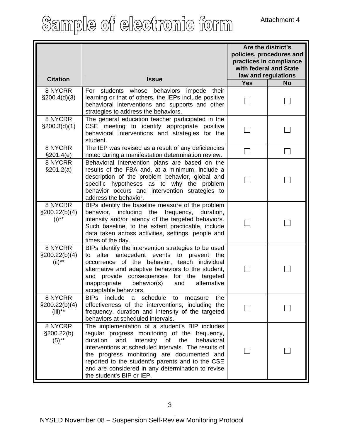| <b>Citation</b>                         | <b>Issue</b>                                                                                                                                                                                                                                                                                                                                                                                     | Are the district's<br>policies, procedures and<br>practices in compliance<br>with federal and State<br>law and regulations |           |  |
|-----------------------------------------|--------------------------------------------------------------------------------------------------------------------------------------------------------------------------------------------------------------------------------------------------------------------------------------------------------------------------------------------------------------------------------------------------|----------------------------------------------------------------------------------------------------------------------------|-----------|--|
|                                         |                                                                                                                                                                                                                                                                                                                                                                                                  | <b>Yes</b>                                                                                                                 | <b>No</b> |  |
| 8 NYCRR<br>$\S200.4(d)(3)$              | For students whose behaviors<br>impede their<br>learning or that of others, the IEPs include positive<br>behavioral interventions and supports and other<br>strategies to address the behaviors.                                                                                                                                                                                                 |                                                                                                                            |           |  |
| 8 NYCRR<br>\$200.3(d)(1)                | The general education teacher participated in the<br>CSE meeting to identify appropriate positive<br>behavioral interventions and strategies for the<br>student.                                                                                                                                                                                                                                 |                                                                                                                            |           |  |
| 8 NYCRR<br>\$201.4(e)                   | The IEP was revised as a result of any deficiencies<br>noted during a manifestation determination review.                                                                                                                                                                                                                                                                                        |                                                                                                                            |           |  |
| 8 NYCRR<br>§201.2(a)                    | Behavioral intervention plans are based on the<br>results of the FBA and, at a minimum, include a<br>description of the problem behavior, global and<br>specific hypotheses as to why the problem<br>behavior occurs and intervention strategies to<br>address the behavior.                                                                                                                     |                                                                                                                            |           |  |
| 8 NYCRR<br>$\S200.22(b)(4)$<br>$(i)$ ** | BIPs identify the baseline measure of the problem<br>behavior, including the<br>frequency, duration,<br>intensity and/or latency of the targeted behaviors.<br>Such baseline, to the extent practicable, include<br>data taken across activities, settings, people and<br>times of the day.                                                                                                      |                                                                                                                            |           |  |
| 8 NYCRR<br>$\S200.22(b)(4)$<br>$(ii)**$ | BIPs identify the intervention strategies to be used<br>alter antecedent events to prevent the<br>to<br>occurrence of the behavior, teach individual<br>alternative and adaptive behaviors to the student,<br>provide consequences for the targeted<br>and<br>alternative<br>inappropriate<br>behavior(s)<br>and<br>acceptable behaviors.                                                        |                                                                                                                            |           |  |
| 8 NYCRR<br>\$200.22(b)(4)<br>$(iii)**$  | BIPs include a schedule to<br>the<br>measure<br>effectiveness of the interventions, including the<br>frequency, duration and intensity of the targeted<br>behaviors at scheduled intervals.                                                                                                                                                                                                      |                                                                                                                            |           |  |
| 8 NYCRR<br>§200.22(b)<br>$(5)$ **       | The implementation of a student's BIP includes<br>regular progress monitoring of the frequency,<br>duration<br>and<br>intensity of the<br>behavioral<br>interventions at scheduled intervals. The results of<br>the progress monitoring are documented and<br>reported to the student's parents and to the CSE<br>and are considered in any determination to revise<br>the student's BIP or IEP. |                                                                                                                            |           |  |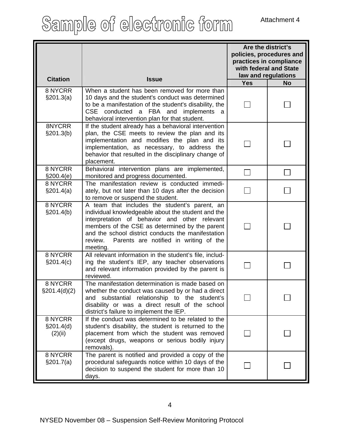| <b>Citation</b>                 | <b>Issue</b>                                                                                                                                                                                                                                                                                                                  | Are the district's<br>policies, procedures and<br>practices in compliance<br>with federal and State<br>law and regulations |  |  |
|---------------------------------|-------------------------------------------------------------------------------------------------------------------------------------------------------------------------------------------------------------------------------------------------------------------------------------------------------------------------------|----------------------------------------------------------------------------------------------------------------------------|--|--|
|                                 |                                                                                                                                                                                                                                                                                                                               | <b>Yes</b><br><b>No</b>                                                                                                    |  |  |
| 8 NYCRR<br>§201.3(a)            | When a student has been removed for more than<br>10 days and the student's conduct was determined<br>to be a manifestation of the student's disability, the<br>CSE conducted a FBA and<br>implements<br>- a<br>behavioral intervention plan for that student.                                                                 |                                                                                                                            |  |  |
| 8NYCRR<br>§201.3(b)             | If the student already has a behavioral intervention<br>plan, the CSE meets to review the plan and its<br>implementation and modifies the plan and its<br>implementation, as necessary, to address the<br>behavior that resulted in the disciplinary change of<br>placement.                                                  |                                                                                                                            |  |  |
| 8 NYCRR<br>\$200.4(e)           | Behavioral intervention plans are implemented,<br>monitored and progress documented.                                                                                                                                                                                                                                          |                                                                                                                            |  |  |
| 8 NYCRR<br>§201.4(a)            | The manifestation review is conducted immedi-<br>ately, but not later than 10 days after the decision<br>to remove or suspend the student.                                                                                                                                                                                    |                                                                                                                            |  |  |
| 8 NYCRR<br>§201.4(b)            | A team that includes the student's parent, an<br>individual knowledgeable about the student and the<br>interpretation of behavior and other relevant<br>members of the CSE as determined by the parent<br>and the school district conducts the manifestation<br>Parents are notified in writing of the<br>review.<br>meeting. |                                                                                                                            |  |  |
| 8 NYCRR<br>§201.4(c)            | All relevant information in the student's file, includ-<br>ing the student's IEP, any teacher observations<br>and relevant information provided by the parent is<br>reviewed.                                                                                                                                                 |                                                                                                                            |  |  |
| 8 NYCRR<br>$\S201.4(d)(2)$      | The manifestation determination is made based on<br>whether the conduct was caused by or had a direct<br>substantial relationship to the student's<br>and<br>disability or was a direct result of the school<br>district's failure to implement the IEP.                                                                      |                                                                                                                            |  |  |
| 8 NYCRR<br>§201.4(d)<br>(2)(ii) | If the conduct was determined to be related to the<br>student's disability, the student is returned to the<br>placement from which the student was removed<br>(except drugs, weapons or serious bodily injury<br>removals).                                                                                                   |                                                                                                                            |  |  |
| 8 NYCRR<br>§201.7(a)            | The parent is notified and provided a copy of the<br>procedural safeguards notice within 10 days of the<br>decision to suspend the student for more than 10<br>days.                                                                                                                                                          |                                                                                                                            |  |  |